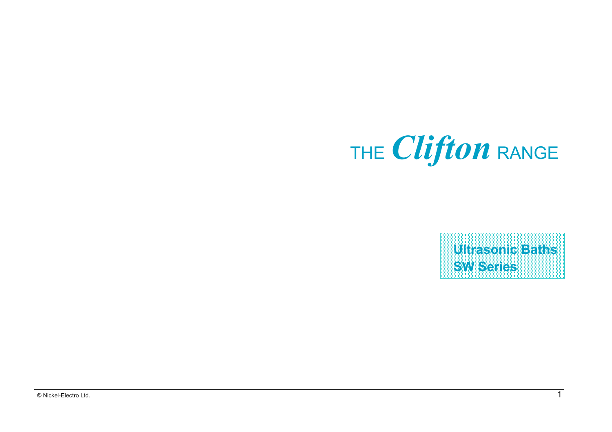

**Ultrasonic Baths SW Series**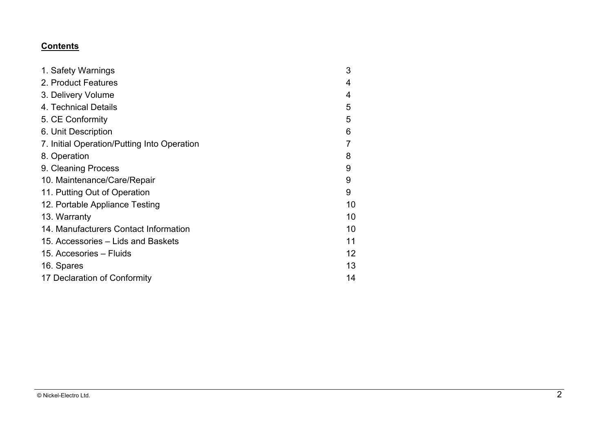## **Contents**

| 1. Safety Warnings                          | 3  |
|---------------------------------------------|----|
| 2. Product Features                         | 4  |
| 3. Delivery Volume                          | 4  |
| 4. Technical Details                        | 5  |
| 5. CE Conformity                            | 5  |
| 6. Unit Description                         | 6  |
| 7. Initial Operation/Putting Into Operation | 7  |
| 8. Operation                                | 8  |
| 9. Cleaning Process                         | 9  |
| 10. Maintenance/Care/Repair                 | 9  |
| 11. Putting Out of Operation                | 9  |
| 12. Portable Appliance Testing              | 10 |
| 13. Warranty                                | 10 |
| 14. Manufacturers Contact Information       | 10 |
| 15. Accessories – Lids and Baskets          | 11 |
| 15. Accesories – Fluids                     | 12 |
| 16. Spares                                  | 13 |
| 17 Declaration of Conformity                | 14 |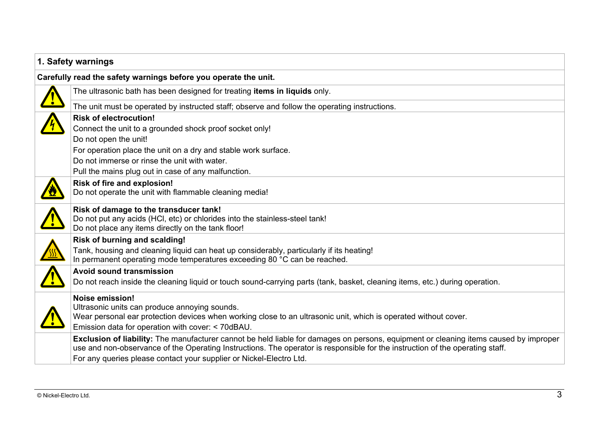| 1. Safety warnings                                                                                                                    |
|---------------------------------------------------------------------------------------------------------------------------------------|
| Carefully read the safety warnings before you operate the unit.                                                                       |
| The ultrasonic bath has been designed for treating items in liquids only.                                                             |
| The unit must be operated by instructed staff; observe and follow the operating instructions.                                         |
| <b>Risk of electrocution!</b>                                                                                                         |
| Connect the unit to a grounded shock proof socket only!                                                                               |
| Do not open the unit!                                                                                                                 |
| For operation place the unit on a dry and stable work surface.                                                                        |
| Do not immerse or rinse the unit with water.                                                                                          |
| Pull the mains plug out in case of any malfunction.                                                                                   |
| Risk of fire and explosion!                                                                                                           |
| Do not operate the unit with flammable cleaning media!                                                                                |
| Risk of damage to the transducer tank!                                                                                                |
| Do not put any acids (HCI, etc) or chlorides into the stainless-steel tank!                                                           |
| Do not place any items directly on the tank floor!                                                                                    |
| Risk of burning and scalding!                                                                                                         |
| Tank, housing and cleaning liquid can heat up considerably, particularly if its heating!                                              |
| In permanent operating mode temperatures exceeding 80 °C can be reached.                                                              |
| <b>Avoid sound transmission</b>                                                                                                       |
| Do not reach inside the cleaning liquid or touch sound-carrying parts (tank, basket, cleaning items, etc.) during operation.          |
| <b>Noise emission!</b>                                                                                                                |
| Ultrasonic units can produce annoying sounds.                                                                                         |
| Wear personal ear protection devices when working close to an ultrasonic unit, which is operated without cover.                       |
| Emission data for operation with cover: < 70dBAU.                                                                                     |
| Exclusion of liability: The manufacturer cannot be held liable for damages on persons, equipment or cleaning items caused by improper |
| use and non-observance of the Operating Instructions. The operator is responsible for the instruction of the operating staff.         |
| For any queries please contact your supplier or Nickel-Electro Ltd.                                                                   |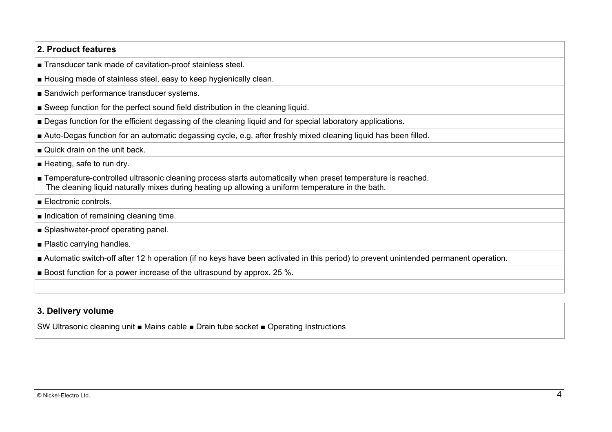### **2. Product features**

■ Transducer tank made of cavitation-proof stainless steel.

- Housing made of stainless steel, easy to keep hygienically clean.
- Sandwich performance transducer systems.
- Sweep function for the perfect sound field distribution in the cleaning liquid.
- Degas function for the efficient degassing of the cleaning liquid and for special laboratory applications.
- Auto-Degas function for an automatic degassing cycle, e.g. after freshly mixed cleaning liquid has been filled.
- Quick drain on the unit back.
- Heating, safe to run dry.
- Temperature-controlled ultrasonic cleaning process starts automatically when preset temperature is reached. The cleaning liquid naturally mixes during heating up allowing a uniform temperature in the bath.
- Electronic controls.
- Indication of remaining cleaning time.
- Splashwater-proof operating panel.
- Plastic carrying handles.
- Automatic switch-off after 12 h operation (if no keys have been activated in this period) to prevent unintended permanent operation.
- Boost function for a power increase of the ultrasound by approx. 25 %.

## **3. Delivery volume**

SW Ultrasonic cleaning unit ■ Mains cable ■ Drain tube socket ■ Operating Instructions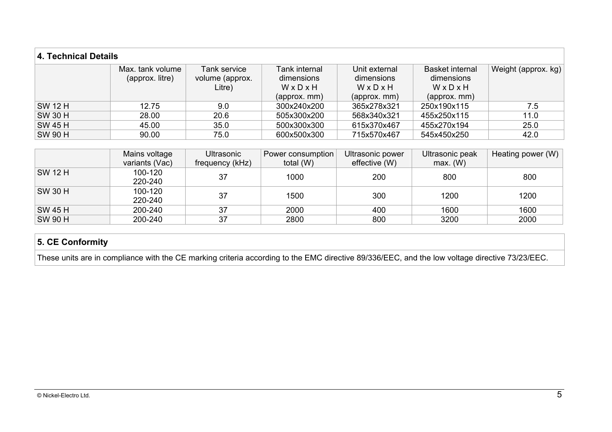| <b>4. Technical Details</b> |                  |                 |               |               |                        |                     |
|-----------------------------|------------------|-----------------|---------------|---------------|------------------------|---------------------|
|                             | Max. tank volume | Tank service    | Tank internal | Unit external | <b>Basket internal</b> | Weight (approx. kg) |
|                             | (approx. litre)  | volume (approx. | dimensions    | dimensions    | dimensions             |                     |
|                             |                  | Litre)          | WxDxH         | WxDxH         | WxDxH                  |                     |
|                             |                  |                 | (approx. mm)  | (approx. mm)  | (approx. mm)           |                     |
| <b>SW 12 H</b>              | 12.75            | 9.0             | 300x240x200   | 365x278x321   | 250x190x115            | 7.5                 |
| <b>SW 30 H</b>              | 28.00            | 20.6            | 505x300x200   | 568x340x321   | 455x250x115            | 11.0                |
| <b>SW 45 H</b>              | 45.00            | 35.0            | 500x300x300   | 615x370x467   | 455x270x194            | 25.0                |
| <b>SW 90 H</b>              | 90.00            | 75.0            | 600x500x300   | 715x570x467   | 545x450x250            | 42.0                |

|                | Mains voltage      | <b>Ultrasonic</b> | Power consumption | Ultrasonic power | Ultrasonic peak | Heating power $(W)$ |
|----------------|--------------------|-------------------|-------------------|------------------|-----------------|---------------------|
|                | variants (Vac)     | frequency (kHz)   | total (W)         | effective (W)    | max. (W)        |                     |
| SW 12 H        | 100-120<br>220-240 | 37                | 1000              | 200              | 800             | 800                 |
| <b>SW 30 H</b> | 100-120<br>220-240 | 37                | 1500              | 300              | 1200            | 1200                |
| <b>SW 45 H</b> | 200-240            | 37                | 2000              | 400              | 1600            | 1600                |
| <b>SW 90 H</b> | 200-240            | 37                | 2800              | 800              | 3200            | 2000                |

# **5. CE Conformity**

These units are in compliance with the CE marking criteria according to the EMC directive 89/336/EEC, and the low voltage directive 73/23/EEC.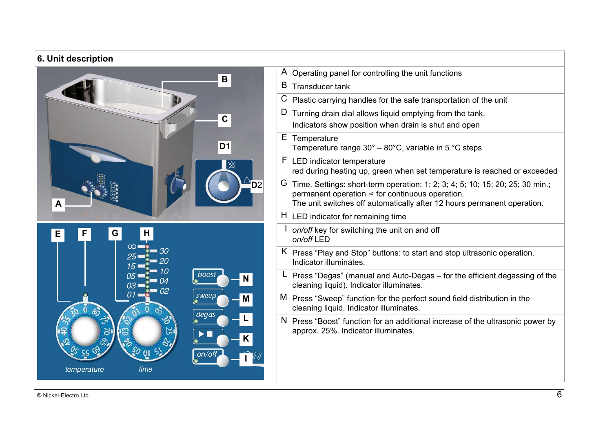# **6. Unit description**



| A  | Operating panel for controlling the unit functions                                                                                                                                                          |
|----|-------------------------------------------------------------------------------------------------------------------------------------------------------------------------------------------------------------|
| B  | Transducer tank                                                                                                                                                                                             |
|    | $C$ Plastic carrying handles for the safe transportation of the unit                                                                                                                                        |
| D  | Turning drain dial allows liquid emptying from the tank.                                                                                                                                                    |
|    | Indicators show position when drain is shut and open                                                                                                                                                        |
| E. | Temperature<br>Temperature range $30^\circ - 80^\circ$ C, variable in 5 °C steps                                                                                                                            |
| F. | LED indicator temperature<br>red during heating up, green when set temperature is reached or exceeded                                                                                                       |
| G. | Time. Settings: short-term operation: 1; 2; 3; 4; 5; 10; 15; 20; 25; 30 min.;<br>permanent operation ∞ for continuous operation.<br>The unit switches off automatically after 12 hours permanent operation. |
|    | $H $ LED indicator for remaining time                                                                                                                                                                       |
| L  | on/off key for switching the unit on and off<br>on/off LED                                                                                                                                                  |
|    | $K$ Press "Play and Stop" buttons: to start and stop ultrasonic operation.<br>Indicator illuminates.                                                                                                        |
| L. | Press "Degas" (manual and Auto-Degas - for the efficient degassing of the<br>cleaning liquid). Indicator illuminates.                                                                                       |
|    | M   Press "Sweep" function for the perfect sound field distribution in the<br>cleaning liquid. Indicator illuminates.                                                                                       |
|    | $N$ Press "Boost" function for an additional increase of the ultrasonic power by<br>approx. 25%. Indicator illuminates.                                                                                     |
|    |                                                                                                                                                                                                             |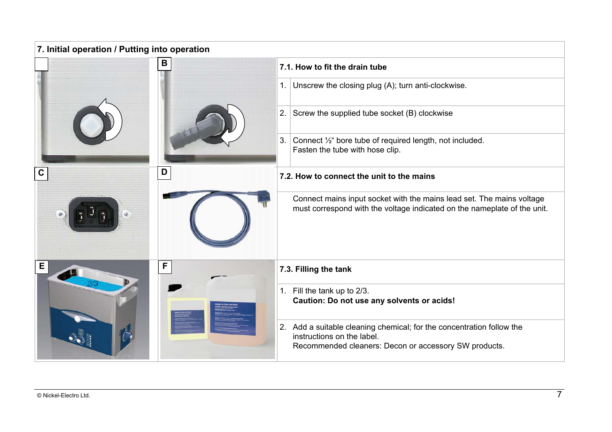| 7. Initial operation / Putting into operation |                                                                                                                                                              |  |  |  |
|-----------------------------------------------|--------------------------------------------------------------------------------------------------------------------------------------------------------------|--|--|--|
| в                                             | 7.1. How to fit the drain tube                                                                                                                               |  |  |  |
|                                               | Unscrew the closing plug (A); turn anti-clockwise.<br>1.                                                                                                     |  |  |  |
|                                               | 2.<br>Screw the supplied tube socket (B) clockwise                                                                                                           |  |  |  |
|                                               | 3.<br>Connect 1/ <sub>2</sub> " bore tube of required length, not included.<br>Fasten the tube with hose clip.                                               |  |  |  |
| D<br>С                                        | 7.2. How to connect the unit to the mains                                                                                                                    |  |  |  |
|                                               | Connect mains input socket with the mains lead set. The mains voltage<br>must correspond with the voltage indicated on the nameplate of the unit.            |  |  |  |
| E<br>F                                        | 7.3. Filling the tank                                                                                                                                        |  |  |  |
|                                               | 1. Fill the tank up to 2/3.<br>Caution: Do not use any solvents or acids!                                                                                    |  |  |  |
|                                               | 2. Add a suitable cleaning chemical; for the concentration follow the<br>instructions on the label.<br>Recommended cleaners: Decon or accessory SW products. |  |  |  |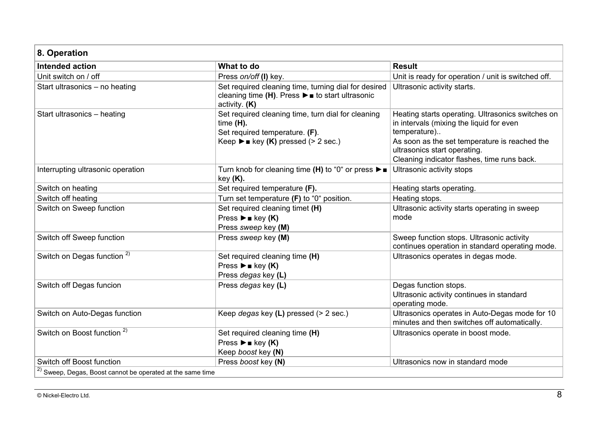#### **8. Operation Intended action Community Community Community Community Community Community Community Community Community Community** Unit switch on / off **Press** *on/off* (I) key. Unit is ready for operation / unit is switched off. Start ultrasonics – no heating Set required cleaning time, turning dial for desired cleaning time **(H)**. Press ►■ to start ultrasonic activity. **(K)** Ultrasonic activity starts. Start ultrasonics – heating Set required cleaning time, turn dial for cleaning time **(H).** Set required temperature. **(F)**. Keep ►■ key **(K)** pressed (> 2 sec.) Heating starts operating. Ultrasonics switches on in intervals (mixing the liquid for even temperature).. As soon as the set temperature is reached the ultrasonics start operating. Cleaning indicator flashes, time runs back. Interrupting ultrasonic operation Turn knob for cleaning time **(H)** to "0" or press ►■ key **(K).** Ultrasonic activity stops Switch on heating starts operating. Set required temperature (F). Set required temperature (F). Switch off heating **Turn set temperature (F)** to "0" position. Heating stops. Switch on Sweep function **Supering the Set required cleaning timet (H)** Set required cleaning timet (H) Press ►■ key **(K)** Press *sweep* key **(M)** Ultrasonic activity starts operating in sweep mode Switch off Sweep function **Press** *Sweep* key **(M)** Switch of Sweep function stops. Ultrasonic activity continues operation in standard operating mode. Switch on Degas function <sup>2)</sup> Set required cleaning time **(H)** Press ►■ key **(K)** Press *degas* key **(L)** Ultrasonics operates in degas mode. Switch off Degas funcion **Press** *degas* key **(L)** Degas function stops. Ultrasonic activity continues in standard operating mode. Switch on Auto-Degas function **Keep** *degas* key (L) pressed (> 2 sec.) Ultrasonics operates in Auto-Degas mode for 10 minutes and then switches off automatically. Switch on Boost function <sup>2)</sup> Set required cleaning time **(H)** Press ►■ key **(K)** Keep *boost* key **(N)** Ultrasonics operate in boost mode. Switch off Boost function **Press** *boost* key **(N)** Network **Press** *boost* key **(N)** Ultrasonics now in standard mode 2) Sweep, Degas, Boost cannot be operated at the same time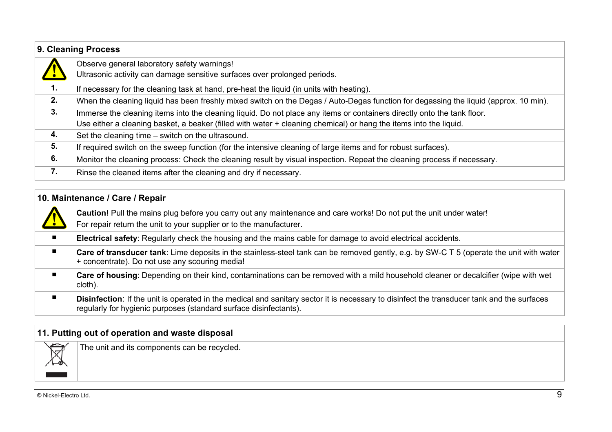|    | 9. Cleaning Process                                                                                                                  |  |  |
|----|--------------------------------------------------------------------------------------------------------------------------------------|--|--|
|    | Observe general laboratory safety warnings!<br>Ultrasonic activity can damage sensitive surfaces over prolonged periods.             |  |  |
| 1. |                                                                                                                                      |  |  |
|    | If necessary for the cleaning task at hand, pre-heat the liquid (in units with heating).                                             |  |  |
| 2. | When the cleaning liquid has been freshly mixed switch on the Degas / Auto-Degas function for degassing the liquid (approx. 10 min). |  |  |
| 3. | Immerse the cleaning items into the cleaning liquid. Do not place any items or containers directly onto the tank floor.              |  |  |
|    | Use either a cleaning basket, a beaker (filled with water + cleaning chemical) or hang the items into the liquid.                    |  |  |
| 4. | Set the cleaning time – switch on the ultrasound.                                                                                    |  |  |
| 5. | If required switch on the sweep function (for the intensive cleaning of large items and for robust surfaces).                        |  |  |
| 6. | Monitor the cleaning process: Check the cleaning result by visual inspection. Repeat the cleaning process if necessary.              |  |  |
| 7. | Rinse the cleaned items after the cleaning and dry if necessary.                                                                     |  |  |

|                | 10. Maintenance / Care / Repair                                                                                                                                                                                        |  |  |  |  |
|----------------|------------------------------------------------------------------------------------------------------------------------------------------------------------------------------------------------------------------------|--|--|--|--|
|                | <b>Caution!</b> Pull the mains plug before you carry out any maintenance and care works! Do not put the unit under water!<br>For repair return the unit to your supplier or to the manufacturer.                       |  |  |  |  |
| $\blacksquare$ | Electrical safety: Regularly check the housing and the mains cable for damage to avoid electrical accidents.                                                                                                           |  |  |  |  |
|                | Care of transducer tank: Lime deposits in the stainless-steel tank can be removed gently, e.g. by SW-C T 5 (operate the unit with water<br>+ concentrate). Do not use any scouring media!                              |  |  |  |  |
|                | Care of housing: Depending on their kind, contaminations can be removed with a mild household cleaner or decalcifier (wipe with wet<br>cloth).                                                                         |  |  |  |  |
|                | <b>Disinfection:</b> If the unit is operated in the medical and sanitary sector it is necessary to disinfect the transducer tank and the surfaces<br>regularly for hygienic purposes (standard surface disinfectants). |  |  |  |  |

| 11. Putting out of operation and waste disposal |                                              |  |
|-------------------------------------------------|----------------------------------------------|--|
| حص<br>ℕ                                         | The unit and its components can be recycled. |  |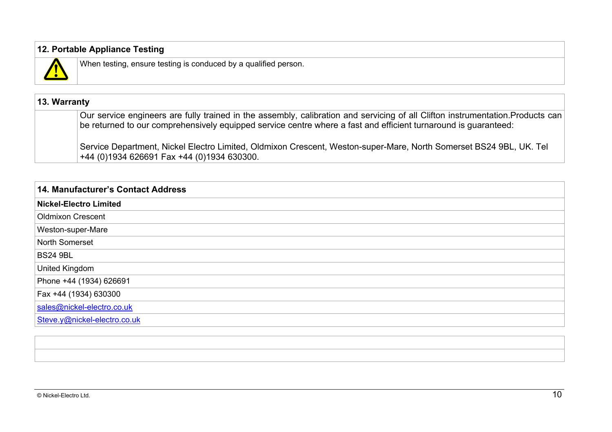## **12. Portable Appliance Testing**



When testing, ensure testing is conduced by a qualified person.

# **13. Warranty**

Our service engineers are fully trained in the assembly, calibration and servicing of all Clifton instrumentation.Products can be returned to our comprehensively equipped service centre where a fast and efficient turnaround is guaranteed:

Service Department, Nickel Electro Limited, Oldmixon Crescent, Weston-super-Mare, North Somerset BS24 9BL, UK. Tel +44 (0)1934 626691 Fax +44 (0)1934 630300.

| 14. Manufacturer's Contact Address |
|------------------------------------|
| <b>Nickel-Electro Limited</b>      |
| <b>Oldmixon Crescent</b>           |
| Weston-super-Mare                  |
| North Somerset                     |
| <b>BS24 9BL</b>                    |
| United Kingdom                     |
| Phone +44 (1934) 626691            |
| Fax +44 (1934) 630300              |
| sales@nickel-electro.co.uk         |
| Steve.y@nickel-electro.co.uk       |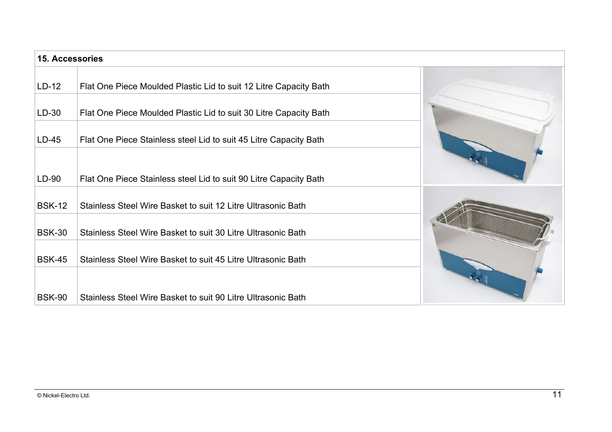| <b>15. Accessories</b> |                                                                   |  |
|------------------------|-------------------------------------------------------------------|--|
| $LD-12$                | Flat One Piece Moulded Plastic Lid to suit 12 Litre Capacity Bath |  |
| $LD-30$                | Flat One Piece Moulded Plastic Lid to suit 30 Litre Capacity Bath |  |
| $LD-45$                | Flat One Piece Stainless steel Lid to suit 45 Litre Capacity Bath |  |
| $LD-90$                | Flat One Piece Stainless steel Lid to suit 90 Litre Capacity Bath |  |
| <b>BSK-12</b>          | Stainless Steel Wire Basket to suit 12 Litre Ultrasonic Bath      |  |
| <b>BSK-30</b>          | Stainless Steel Wire Basket to suit 30 Litre Ultrasonic Bath      |  |
| <b>BSK-45</b>          | Stainless Steel Wire Basket to suit 45 Litre Ultrasonic Bath      |  |
| <b>BSK-90</b>          | Stainless Steel Wire Basket to suit 90 Litre Ultrasonic Bath      |  |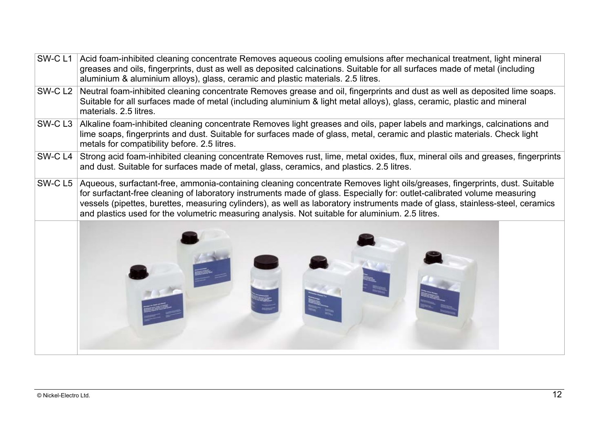| SW-CL1             | Acid foam-inhibited cleaning concentrate Removes aqueous cooling emulsions after mechanical treatment, light mineral<br>greases and oils, fingerprints, dust as well as deposited calcinations. Suitable for all surfaces made of metal (including<br>aluminium & aluminium alloys), glass, ceramic and plastic materials. 2.5 litres.                                                                                                                                                      |  |  |
|--------------------|---------------------------------------------------------------------------------------------------------------------------------------------------------------------------------------------------------------------------------------------------------------------------------------------------------------------------------------------------------------------------------------------------------------------------------------------------------------------------------------------|--|--|
| SW-CL <sub>2</sub> | Neutral foam-inhibited cleaning concentrate Removes grease and oil, fingerprints and dust as well as deposited lime soaps.<br>Suitable for all surfaces made of metal (including aluminium & light metal alloys), glass, ceramic, plastic and mineral<br>materials. 2.5 litres.                                                                                                                                                                                                             |  |  |
| SW-CL3             | Alkaline foam-inhibited cleaning concentrate Removes light greases and oils, paper labels and markings, calcinations and<br>lime soaps, fingerprints and dust. Suitable for surfaces made of glass, metal, ceramic and plastic materials. Check light<br>metals for compatibility before. 2.5 litres.                                                                                                                                                                                       |  |  |
| SW-C L4            | Strong acid foam-inhibited cleaning concentrate Removes rust, lime, metal oxides, flux, mineral oils and greases, fingerprints<br>and dust. Suitable for surfaces made of metal, glass, ceramics, and plastics. 2.5 litres.                                                                                                                                                                                                                                                                 |  |  |
| SW-CL5             | Aqueous, surfactant-free, ammonia-containing cleaning concentrate Removes light oils/greases, fingerprints, dust. Suitable<br>for surfactant-free cleaning of laboratory instruments made of glass. Especially for: outlet-calibrated volume measuring<br>vessels (pipettes, burettes, measuring cylinders), as well as laboratory instruments made of glass, stainless-steel, ceramics<br>and plastics used for the volumetric measuring analysis. Not suitable for aluminium. 2.5 litres. |  |  |
|                    |                                                                                                                                                                                                                                                                                                                                                                                                                                                                                             |  |  |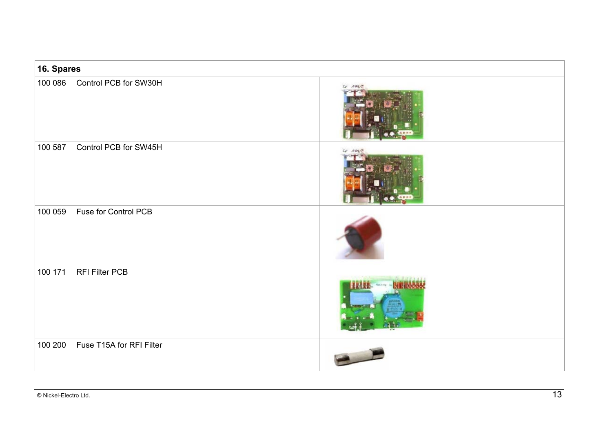| 16. Spares |                          |  |
|------------|--------------------------|--|
| 100 086    | Control PCB for SW30H    |  |
| 100 587    | Control PCB for SW45H    |  |
| 100 059    | Fuse for Control PCB     |  |
| 100 171    | <b>RFI Filter PCB</b>    |  |
| 100 200    | Fuse T15A for RFI Filter |  |